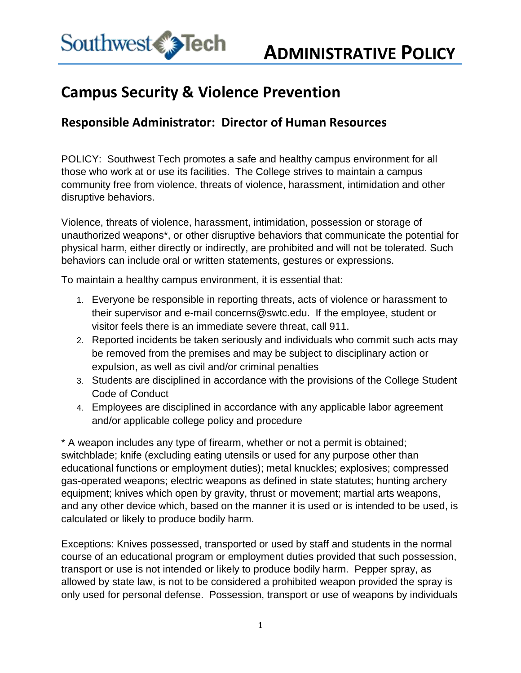

## **Campus Security & Violence Prevention**

## **Responsible Administrator: Director of Human Resources**

POLICY: Southwest Tech promotes a safe and healthy campus environment for all those who work at or use its facilities. The College strives to maintain a campus community free from violence, threats of violence, harassment, intimidation and other disruptive behaviors.

Violence, threats of violence, harassment, intimidation, possession or storage of unauthorized weapons\*, or other disruptive behaviors that communicate the potential for physical harm, either directly or indirectly, are prohibited and will not be tolerated. Such behaviors can include oral or written statements, gestures or expressions.

To maintain a healthy campus environment, it is essential that:

- 1. Everyone be responsible in reporting threats, acts of violence or harassment to their supervisor and e-mail concerns@swtc.edu. If the employee, student or visitor feels there is an immediate severe threat, call 911.
- 2. Reported incidents be taken seriously and individuals who commit such acts may be removed from the premises and may be subject to disciplinary action or expulsion, as well as civil and/or criminal penalties
- 3. Students are disciplined in accordance with the provisions of the College Student Code of Conduct
- 4. Employees are disciplined in accordance with any applicable labor agreement and/or applicable college policy and procedure

\* A weapon includes any type of firearm, whether or not a permit is obtained; switchblade; knife (excluding eating utensils or used for any purpose other than educational functions or employment duties); metal knuckles; explosives; compressed gas-operated weapons; electric weapons as defined in state statutes; hunting archery equipment; knives which open by gravity, thrust or movement; martial arts weapons, and any other device which, based on the manner it is used or is intended to be used, is calculated or likely to produce bodily harm.

Exceptions: Knives possessed, transported or used by staff and students in the normal course of an educational program or employment duties provided that such possession, transport or use is not intended or likely to produce bodily harm. Pepper spray, as allowed by state law, is not to be considered a prohibited weapon provided the spray is only used for personal defense. Possession, transport or use of weapons by individuals